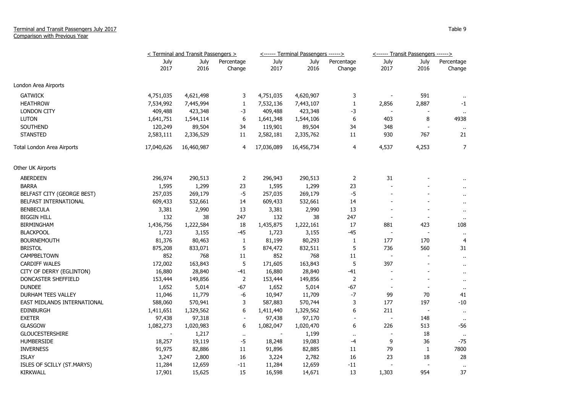## Terminal and Transit Passengers July 2017 Comparison with Previous Year

|                             | < Terminal and Transit Passengers > |              |                          |              | <------ Terminal Passengers ------> |                      | <------ Transit Passengers ------> |                          |                      |
|-----------------------------|-------------------------------------|--------------|--------------------------|--------------|-------------------------------------|----------------------|------------------------------------|--------------------------|----------------------|
|                             | July<br>2017                        | July<br>2016 | Percentage<br>Change     | July<br>2017 | July<br>2016                        | Percentage<br>Change | July<br>2017                       | July<br>2016             | Percentage<br>Change |
| London Area Airports        |                                     |              |                          |              |                                     |                      |                                    |                          |                      |
| <b>GATWICK</b>              | 4,751,035                           | 4,621,498    | 3                        | 4,751,035    | 4,620,907                           | 3                    |                                    | 591                      | $\cdot$ .            |
| <b>HEATHROW</b>             | 7,534,992                           | 7,445,994    | $\mathbf{1}$             | 7,532,136    | 7,443,107                           | $\mathbf{1}$         | 2,856                              | 2,887                    | $-1$                 |
| <b>LONDON CITY</b>          | 409,488                             | 423,348      | -3                       | 409,488      | 423,348                             | -3                   |                                    |                          |                      |
| <b>LUTON</b>                | 1,641,751                           | 1,544,114    | 6                        | 1,641,348    | 1,544,106                           | 6                    | 403                                | 8                        | 4938                 |
| <b>SOUTHEND</b>             | 120,249                             | 89,504       | 34                       | 119,901      | 89,504                              | 34                   | 348                                |                          | $\bullet$            |
| <b>STANSTED</b>             | 2,583,111                           | 2,336,529    | 11                       | 2,582,181    | 2,335,762                           | $11\,$               | 930                                | 767                      | 21                   |
| Total London Area Airports  | 17,040,626                          | 16,460,987   | 4                        | 17,036,089   | 16,456,734                          | 4                    | 4,537                              | 4,253                    | 7                    |
| Other UK Airports           |                                     |              |                          |              |                                     |                      |                                    |                          |                      |
| <b>ABERDEEN</b>             | 296,974                             | 290,513      | $\overline{2}$           | 296,943      | 290,513                             | $\overline{2}$       | 31                                 |                          |                      |
| <b>BARRA</b>                | 1,595                               | 1,299        | 23                       | 1,595        | 1,299                               | 23                   |                                    |                          | $\ddot{\phantom{1}}$ |
| BELFAST CITY (GEORGE BEST)  | 257,035                             | 269,179      | $-5$                     | 257,035      | 269,179                             | $-5$                 |                                    |                          | $\mathbf{r}$         |
| BELFAST INTERNATIONAL       | 609,433                             | 532,661      | 14                       | 609,433      | 532,661                             | 14                   |                                    |                          | $\ddot{\phantom{1}}$ |
| <b>BENBECULA</b>            | 3,381                               | 2,990        | 13                       | 3,381        | 2,990                               | 13                   |                                    |                          | $\sim$               |
| <b>BIGGIN HILL</b>          | 132                                 | 38           | 247                      | 132          | 38                                  | 247                  |                                    |                          | $\sim$               |
| <b>BIRMINGHAM</b>           | 1,436,756                           | 1,222,584    | 18                       | 1,435,875    | 1,222,161                           | 17                   | 881                                | 423                      | 108                  |
| <b>BLACKPOOL</b>            | 1,723                               | 3,155        | $-45$                    | 1,723        | 3,155                               | $-45$                | $\overline{\phantom{a}}$           |                          | $\cdot$ .            |
| <b>BOURNEMOUTH</b>          | 81,376                              | 80,463       | $\mathbf{1}$             | 81,199       | 80,293                              | $\mathbf{1}$         | 177                                | 170                      | $\overline{4}$       |
| <b>BRISTOL</b>              | 875,208                             | 833,071      | 5                        | 874,472      | 832,511                             | 5                    | 736                                | 560                      | 31                   |
| CAMPBELTOWN                 | 852                                 | 768          | 11                       | 852          | 768                                 | 11                   | $\blacksquare$                     |                          | $\mathbf{r}$         |
| <b>CARDIFF WALES</b>        | 172,002                             | 163,843      | 5                        | 171,605      | 163,843                             | 5                    | 397                                |                          | $\sim$               |
| CITY OF DERRY (EGLINTON)    | 16,880                              | 28,840       | $-41$                    | 16,880       | 28,840                              | $-41$                | $\overline{\phantom{a}}$           |                          | $\sim$               |
| DONCASTER SHEFFIELD         | 153,444                             | 149,856      | $\overline{2}$           | 153,444      | 149,856                             | $\overline{2}$       |                                    |                          | $\sim$               |
| <b>DUNDEE</b>               | 1,652                               | 5,014        | -67                      | 1,652        | 5,014                               | $-67$                |                                    |                          | $\mathbf{H}$         |
| DURHAM TEES VALLEY          | 11,046                              | 11,779       | -6                       | 10,947       | 11,709                              | $-7$                 | 99                                 | 70                       | 41                   |
| EAST MIDLANDS INTERNATIONAL | 588,060                             | 570,941      | 3                        | 587,883      | 570,744                             | 3                    | 177                                | 197                      | $-10$                |
| <b>EDINBURGH</b>            | 1,411,651                           | 1,329,562    | 6                        | 1,411,440    | 1,329,562                           | 6                    | 211                                | $\overline{\phantom{a}}$ | $\cdot$ .            |
| <b>EXETER</b>               | 97,438                              | 97,318       | $\overline{\phantom{a}}$ | 97,438       | 97,170                              |                      |                                    | 148                      | $\sim$               |
| <b>GLASGOW</b>              | 1,082,273                           | 1,020,983    | 6                        | 1,082,047    | 1,020,470                           | 6                    | 226                                | 513                      | $-56$                |
| <b>GLOUCESTERSHIRE</b>      |                                     | 1,217        | $\mathbf{u}$             |              | 1,199                               | $\sim$               |                                    | 18                       | $\mathbf{u}$         |
| <b>HUMBERSIDE</b>           | 18,257                              | 19,119       | $-5$                     | 18,248       | 19,083                              | -4                   | 9                                  | 36                       | $-75$                |
| <b>INVERNESS</b>            | 91,975                              | 82,886       | 11                       | 91,896       | 82,885                              | 11                   | 79                                 | $\mathbf{1}$             | 7800                 |
| <b>ISLAY</b>                | 3,247                               | 2,800        | 16                       | 3,224        | 2,782                               | 16                   | 23                                 | 18                       | 28                   |
| ISLES OF SCILLY (ST.MARYS)  | 11,284                              | 12,659       | $-11$                    | 11,284       | 12,659                              | $-11$                |                                    |                          |                      |
| <b>KIRKWALL</b>             | 17,901                              | 15,625       | 15                       | 16,598       | 14,671                              | 13                   | 1,303                              | 954                      | 37                   |